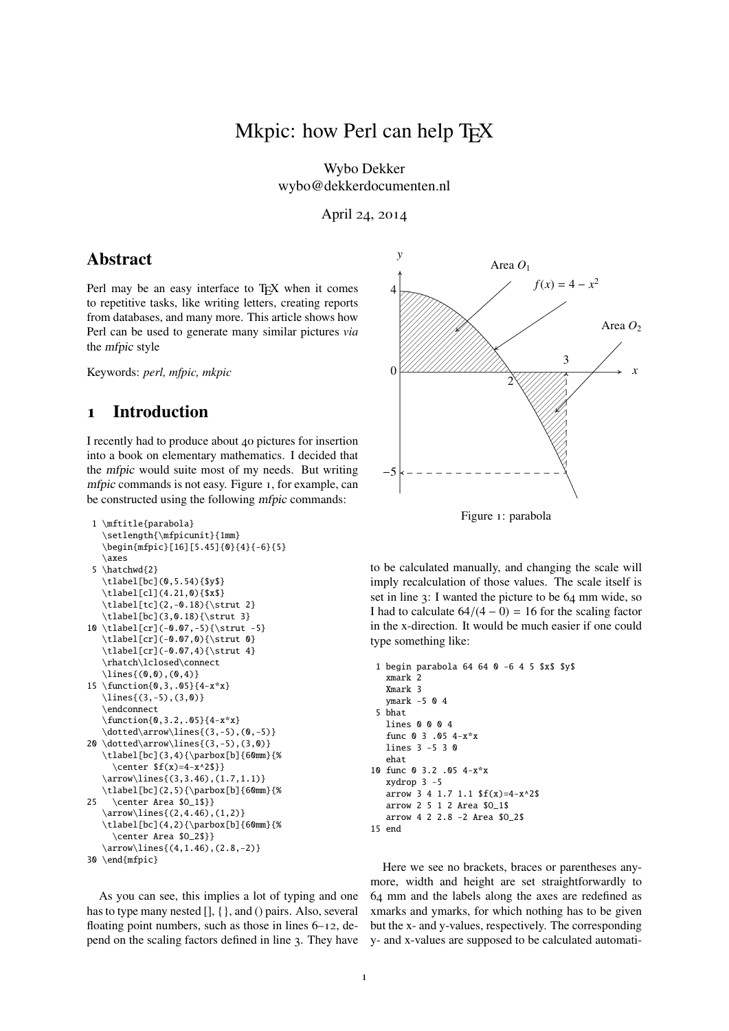# Mkpic: how Perl can help T<sub>E</sub>X

Wybo Dekker wybo@dekkerdocumenten.nl

April 24, 2014

## Abstract

Perl may be an easy interface to T<sub>E</sub>X when it comes to repetitive tasks, like writing letters, creating reports from databases, and many more. This article shows how Perl can be used to generate many similar pictures *via* the mfpic style

Keywords: *perl, mfpic, mkpic*

# 1 Introduction

I recently had to produce about 40 pictures for insertion into a book on elementary mathematics. I decided that the mfpic would suite most of my needs. But writing mfpic commands is not easy. Figure 1, for example, can be constructed using the following mfpic commands:

```
1 \mftitle{parabola}
   \setlength{\mfpicunit}{1mm}
   \begin{mfpic}[16][5.45]{0}{4}{-6}{5}
   \axes
 5 \hatchwd{2}
   \tlabel[bc](0,5.54){$y$}
   \tlabel[cl](4.21,0){$x$}
   \tlabel[tc](2,-0.18){\strut 2}
   \tlabel[bc](3,0.18){\strut 3}
10 \tlabel[cr](-0.07,-5){\strut -5}
   \tlabel[cr](-0.07,0){\strut 0}
   \tlabel[cr](-0.07,4){\strut 4}
   \rhatch\lclosed\connect
   \{\lnes{(0,0),(0,4)}\}15 \function{0,3,.05}{4-x*x}
  \lines{(3,-5),(3,0)}
   \endconnect
   \function{0,3.2,.05}{4-x*x}
   \dot{\arrow}\lines(3,-5), (0,-5)}
20 \dotted\arrow\lines{(3,-5),(3,0)}
   \tlabel[bc](3,4){\parbox[b]{60mm}{%
     \center $f(x)=4-x^2$}}
   \arrow\lines{(3,3.46),(1.7,1.1)}
   \tlabel[bc](2,5){\parbox[b]{60mm}{%
25 \center Area $O_1$}}
   \arrow\lines{(2,4.46),(1,2)}
   \tlabel[bc](4,2){\parbox[b]{60mm}{%
     \center Area $O_2$}}
   \arrow\lines{(4,1.46),(2.8,-2)}
30 \end{mfpic}
```
As you can see, this implies a lot of typing and one has to type many nested [], { }, and () pairs. Also, several floating point numbers, such as those in lines 6–12, depend on the scaling factors defined in line 3. They have





to be calculated manually, and changing the scale will imply recalculation of those values. The scale itself is set in line 3: I wanted the picture to be 64 mm wide, so I had to calculate  $64/(4-0) = 16$  for the scaling factor in the x-direction. It would be much easier if one could type something like:

```
1 begin parabola 64 64 0 -6 4 5 $x$ $y$
  xmark 2
  Xmark 3
  ymark -5 0 4
 5 bhat
  lines 0 0 0 4
   func 0 3 .05 4-x*x
  lines 3 -5 3 0
   ehat
10 func 0 3.2 .05 4-x*x
  xydrop 3 -5
   arrow 3 4 1.7 1.1 f(x)=4-x^2arrow 2 5 1 2 Area $O_1$
   arrow 4 2 2.8 -2 Area $O_2$
15 end
```
Here we see no brackets, braces or parentheses anymore, width and height are set straightforwardly to 64 mm and the labels along the axes are redefined as xmarks and ymarks, for which nothing has to be given but the x- and y-values, respectively. The corresponding y- and x-values are supposed to be calculated automati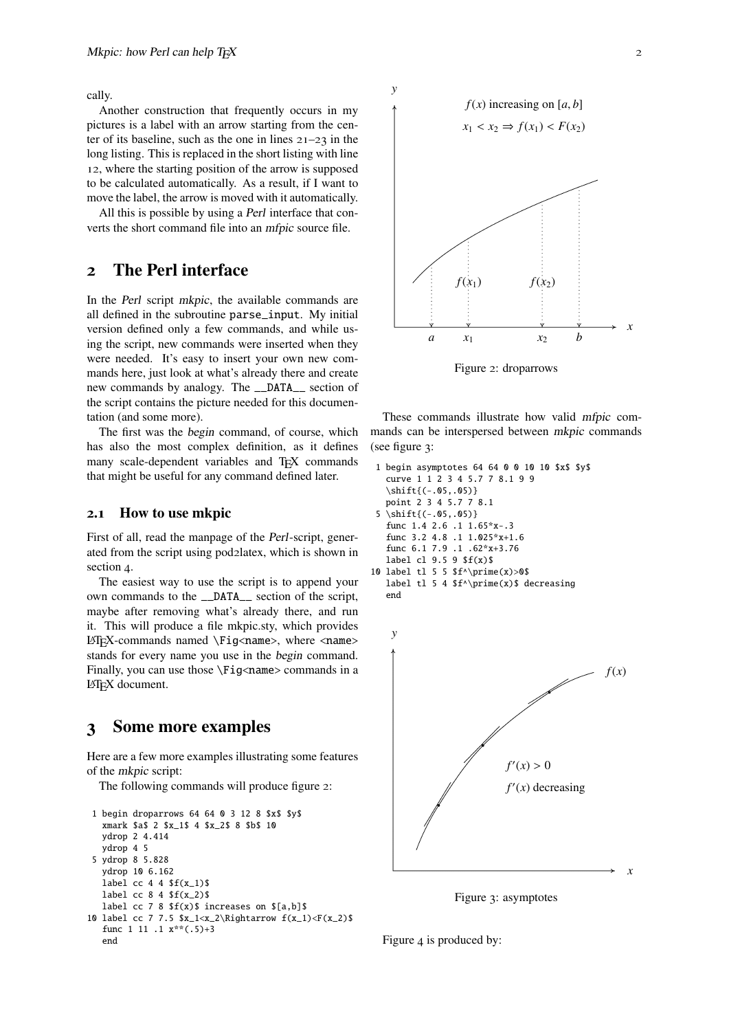cally.

Another construction that frequently occurs in my pictures is a label with an arrow starting from the center of its baseline, such as the one in lines  $21-23$  in the long listing. This is replaced in the short listing with line 12, where the starting position of the arrow is supposed to be calculated automatically. As a result, if I want to move the label, the arrow is moved with it automatically.

All this is possible by using a Perl interface that converts the short command file into an mfpic source file.

# 2 The Perl interface

In the Perl script mkpic, the available commands are all defined in the subroutine parse\_input. My initial version defined only a few commands, and while using the script, new commands were inserted when they were needed. It's easy to insert your own new commands here, just look at what's already there and create new commands by analogy. The \_\_DATA\_\_ section of the script contains the picture needed for this documentation (and some more).

The first was the begin command, of course, which has also the most complex definition, as it defines many scale-dependent variables and T<sub>E</sub>X commands that might be useful for any command defined later.

#### 2.1 How to use mkpic

First of all, read the manpage of the Perl-script, generated from the script using pod2latex, which is shown in section 4.

The easiest way to use the script is to append your own commands to the \_\_DATA\_\_ section of the script, maybe after removing what's already there, and run it. This will produce a file mkpic.sty, which provides  $LATEX$ -commands named \Fig<name>, where <name> stands for every name you use in the begin command. Finally, you can use those \Fig<name> commands in a LAT<sub>E</sub>X document.

### 3 Some more examples

Here are a few more examples illustrating some features of the mkpic script:

The following commands will produce figure 2:

```
1 begin droparrows 64 64 0 3 12 8 $x$ $y$
  xmark $a$ 2 $x_1$ 4 $x_2$ 8 $b$ 10
  ydrop 2 4.414
  ydrop 4 5
5 ydrop 8 5.828
  ydrop 10 6.162
  label cc 4 4 f(x_1)$
  label cc 8 4 $f(x_2)$
  label cc 7 8 f(x) increases on [ a,b]10 label cc 7 7.5 x_1 < x_2 \Rightightarrow f(x_1) < F(x_2)$
  func 1 11 .1 x**(.5)+3
  end
```


Figure 2: droparrows

These commands illustrate how valid mfpic commands can be interspersed between mkpic commands (see figure 3:

```
1 begin asymptotes 64 64 0 0 10 10 $x$ $y$
   curve 1 1 2 3 4 5.7 7 8.1 9 9
   \shift{(-.05,.05)}
   point 2 3 4 5.7 7 8.1
 5 \shift{(-.05,.05)}
   func 1.4 2.6 .1 1.65*x-.3
   func 3.2 4.8 .1 1.025*x+1.6
   func 6.1 7.9 .1 .62*x+3.76
   label cl 9.5 9 $f(x)$
10 label tl 5 5 f^{\prime} prime(x)>0$
   label tl 5 4 f^{\prime}(x) decreasing
   end
```


Figure 3: asymptotes

Figure 4 is produced by: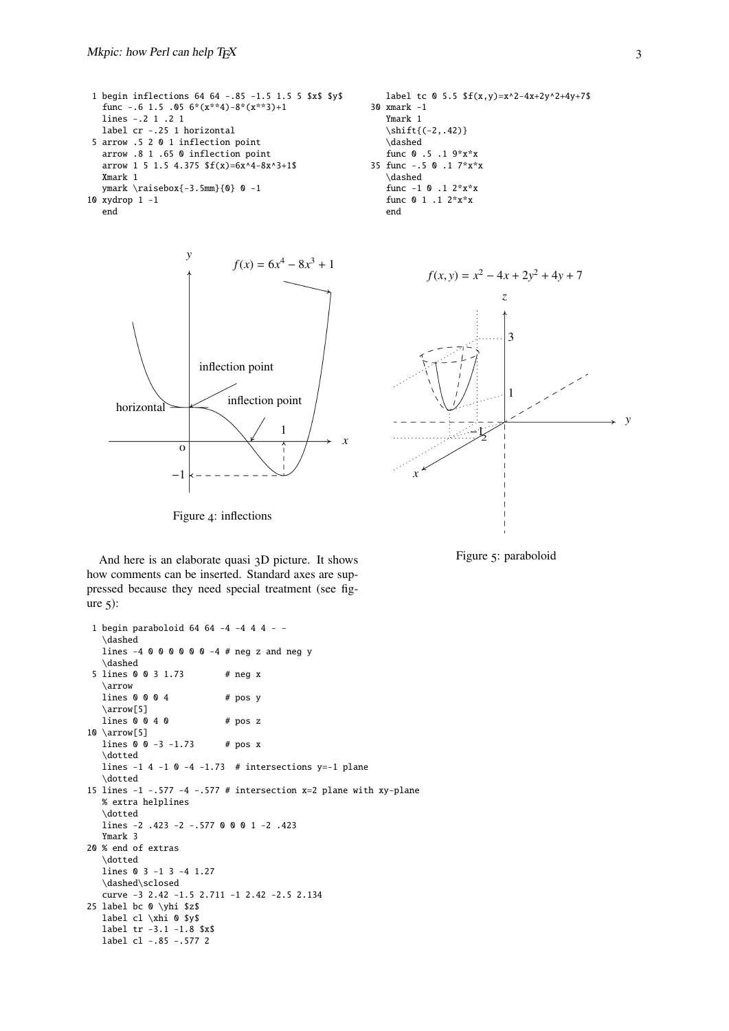```
1 begin inflections 64 64 -.85 -1.5 1.5 5 $x$ $y$
  func -.6 1.5 .05 6*(x**4)-8*(x**3)+1lines -.2 1 .2 1
  label cr -.25 1 horizontal
 5 arrow .5 2 0 1 inflection point
  arrow .8 1 .65 0 inflection point
  arrow 1 5 1.5 4.375 f(x)=6x^4-8x^3+1$
  Xmark 1
  ymark \raisebox{-3.5mm}{0} 0 -1
10 xydrop 1 -1
  end
```


Figure 4: inflections





Figure 5: paraboloid

And here is an elaborate quasi 3D picture. It shows how comments can be inserted. Standard axes are suppressed because they need special treatment (see figure  $\zeta$ :

```
1 begin paraboloid 64 64 -4 -4 4 4 - -
   \dashed
   lines -4 0 0 0 0 0 0 -4 4 neg z and neg y
   \dashed
 5 lines 0 0 3 1.73 # neg x
   \arrow
   lines \, 0 \, 0 \, 0 \, 4 # pos y
   \arrow[5]
   lines \, 0 \, 0 \, 4 \, 0 # pos \, z10 \arrow[5]
  lines 0 \t 0 \t -3 \t -1.73 # pos x
   \dotted
  lines -1 4 -1 0 -4 -1.73 # intersections y=-1 plane
   \dotted
15 lines -1 -.577 -4 -.577 # intersection x=2 plane with xy-plane
  % extra helplines
   \dotted
   lines -2 .423 -2 -.577 0 0 0 1 -2 .423
  Ymark 3
20 % end of extras
   \dotted
   lines 0 3 -1 3 -4 1.27
   \dashed\sclosed
   curve -3 2.42 -1.5 2.711 -1 2.42 -2.5 2.134
25 label bc 0 \yhi $z$
  label cl \xhi 0 $y$
   label tr -3.1 -1.8 $x$
   label cl -.85 -.577 2
```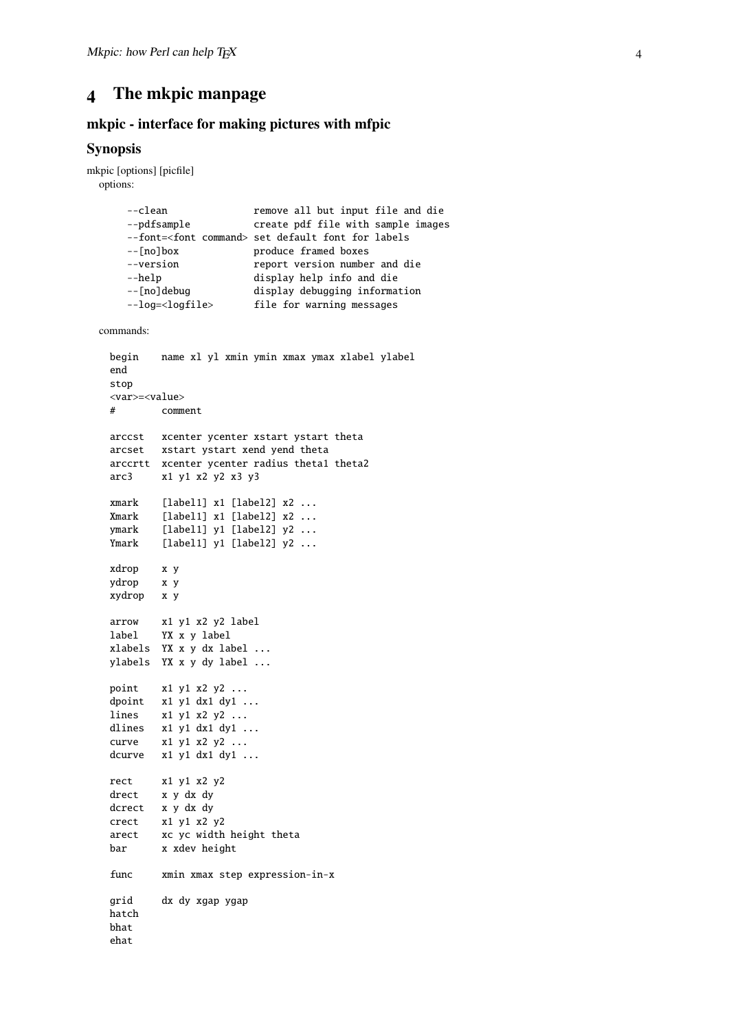# 4 The mkpic manpage

### mkpic - interface for making pictures with mfpic

### Synopsis

```
mkpic [options] [picfile]
 options:
      --clean remove all but input file and die
      --pdfsample create pdf file with sample images
      --font=<font command> set default font for labels
      --[no]box produce framed boxes
      --version report version number and die
      --help display help info and die
      --[no]debug display debugging information
      --log=<logfile> file for warning messages
 commands:
   begin name xl yl xmin ymin xmax ymax xlabel ylabel
   end
   stop
   <var>=<value>
   # comment
   arccst xcenter ycenter xstart ystart theta
   arcset xstart ystart xend yend theta
   arccrtt xcenter ycenter radius theta1 theta2
   arc3 x1 y1 x2 y2 x3 y3
   xmark [label1] x1 [label2] x2 ...
   Xmark [label1] x1 [label2] x2 ...
   ymark [label1] y1 [label2] y2 ...
   Ymark [label1] y1 [label2] y2 ...
   xdrop x y
   ydrop x y
   xydrop x y
   arrow x1 y1 x2 y2 label
   label YX x y label
   xlabels YX x y dx label ...
   ylabels YX x y dy label ...
   point x1 y1 x2 y2 ...
   dpoint x1 y1 dx1 dy1 ...
   lines x1 y1 x2 y2 ...
   dlines x1 y1 x2 y2 ...<br>dlines x1 y1 dx1 dy1 ...curve x1 y1 x2 y2 ...
   curve x_1 y_1 x_2 y_2 \ldots<br>dcurve x_1 y_1 dx_1 dy_1 \ldotsrect x1 y1 x2 y2
   drect x y dx dy
   dcrect x y dx dy
   crect x1 y1 x2 y2
   arect xc yc width height theta
   bar x xdev height
   func xmin xmax step expression-in-x
   grid dx dy xgap ygap
   hatch
   bhat
   ehat
```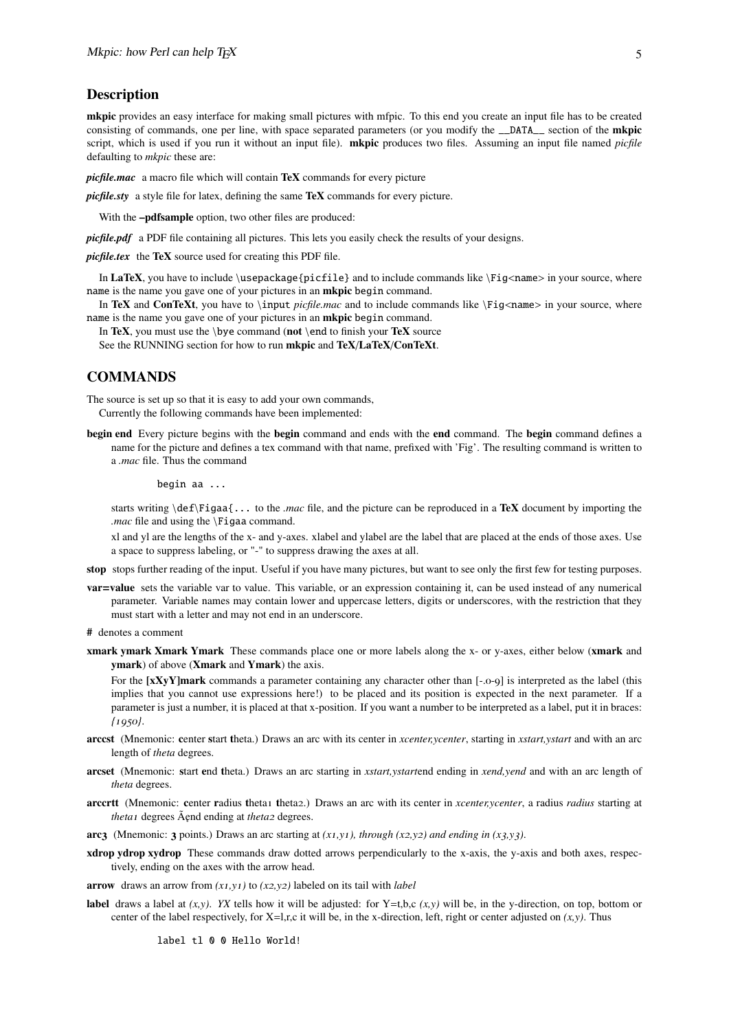#### **Description**

mkpic provides an easy interface for making small pictures with mfpic. To this end you create an input file has to be created consisting of commands, one per line, with space separated parameters (or you modify the \_\_DATA\_\_ section of the **mkpic** script, which is used if you run it without an input file). mkpic produces two files. Assuming an input file named *picfile* defaulting to *mkpic* these are:

*picfile.mac* a macro file which will contain TeX commands for every picture

*picfile.sty* a style file for latex, defining the same **TeX** commands for every picture.

With the **-pdfsample** option, two other files are produced:

*picfile.pdf* a PDF file containing all pictures. This lets you easily check the results of your designs.

*picfile.tex* the TeX source used for creating this PDF file.

In LaTeX, you have to include  $\usepackage\picfile\}$  and to include commands like  $\Fig\ncname>in your source$ , where name is the name you gave one of your pictures in an mkpic begin command.

In TeX and ConTeXt, you have to \input *picfile.mac* and to include commands like \Fig<name> in your source, where name is the name you gave one of your pictures in an mkpic begin command.

In TeX, you must use the \bye command (not \end to finish your TeX source

See the RUNNING section for how to run mkpic and TeX/LaTeX/ConTeXt.

### **COMMANDS**

The source is set up so that it is easy to add your own commands, Currently the following commands have been implemented:

begin end Every picture begins with the begin command and ends with the end command. The begin command defines a name for the picture and defines a tex command with that name, prefixed with 'Fig'. The resulting command is written to a *.mac* file. Thus the command

#### begin aa ...

starts writing \def\Figaa{... to the *.mac* file, and the picture can be reproduced in a TeX document by importing the *.mac* file and using the \Figaa command.

xl and yl are the lengths of the x- and y-axes. xlabel and ylabel are the label that are placed at the ends of those axes. Use a space to suppress labeling, or "-" to suppress drawing the axes at all.

- stop stops further reading of the input. Useful if you have many pictures, but want to see only the first few for testing purposes.
- var=value sets the variable var to value. This variable, or an expression containing it, can be used instead of any numerical parameter. Variable names may contain lower and uppercase letters, digits or underscores, with the restriction that they must start with a letter and may not end in an underscore.
- # denotes a comment
- xmark ymark Xmark Ymark These commands place one or more labels along the x- or y-axes, either below (xmark and ymark) of above (Xmark and Ymark) the axis.

For the [xXyY]mark commands a parameter containing any character other than [-.0-9] is interpreted as the label (this implies that you cannot use expressions here!) to be placed and its position is expected in the next parameter. If a parameter is just a number, it is placed at that x-position. If you want a number to be interpreted as a label, put it in braces: *{*1950*}*.

- arccst (Mnemonic: center start theta.) Draws an arc with its center in *xcenter,ycenter*, starting in *xstart,ystart* and with an arc length of *theta* degrees.
- arcset (Mnemonic: start end theta.) Draws an arc starting in *xstart,ystart*end ending in *xend,yend* and with an arc length of *theta* degrees.
- arccrtt (Mnemonic: center radius theta1 theta2.) Draws an arc with its center in *xcenter,ycenter*, a radius *radius* starting at *theta1* degrees  $\tilde{A}$ end ending at *theta2* degrees.
- arc<sub>3</sub> (Mnemonic: 3 points.) Draws an arc starting at  $(x_1, y_1)$ , through  $(x_2, y_2)$  and ending in  $(x_3, y_3)$ .
- xdrop ydrop xydrop These commands draw dotted arrows perpendicularly to the x-axis, the y-axis and both axes, respectively, ending on the axes with the arrow head.
- arrow draws an arrow from *(x*1*,y*1*)* to *(x*2*,y*2*)* labeled on its tail with *label*
- label draws a label at  $(x, y)$ . *YX* tells how it will be adjusted: for Y=t,b,c  $(x, y)$  will be, in the y-direction, on top, bottom or center of the label respectively, for  $X=1,r,c$  it will be, in the x-direction, left, right or center adjusted on  $(x,y)$ . Thus

label tl 0 0 Hello World!